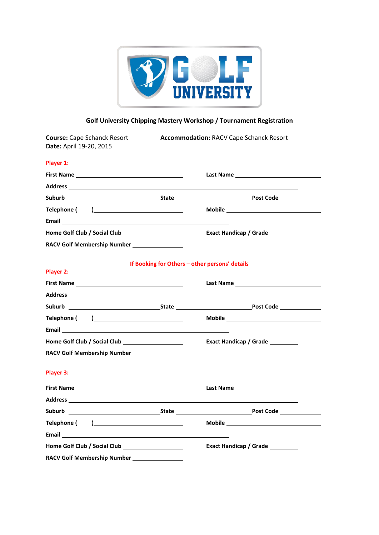

# **Golf University Chipping Mastery Workshop / Tournament Registration**

| <b>Course: Cape Schanck Resort</b><br>Date: April 19-20, 2015                                                  | <b>Accommodation: RACV Cape Schanck Resort</b>                                                                                                                                                                                      |
|----------------------------------------------------------------------------------------------------------------|-------------------------------------------------------------------------------------------------------------------------------------------------------------------------------------------------------------------------------------|
| Player 1:                                                                                                      |                                                                                                                                                                                                                                     |
|                                                                                                                |                                                                                                                                                                                                                                     |
|                                                                                                                |                                                                                                                                                                                                                                     |
|                                                                                                                |                                                                                                                                                                                                                                     |
|                                                                                                                |                                                                                                                                                                                                                                     |
|                                                                                                                |                                                                                                                                                                                                                                     |
|                                                                                                                | Exact Handicap / Grade                                                                                                                                                                                                              |
| RACV Golf Membership Number _______________                                                                    |                                                                                                                                                                                                                                     |
| Player 2:                                                                                                      | If Booking for Others - other persons' details                                                                                                                                                                                      |
|                                                                                                                | <b>Last Name</b> and the contract of the contract of the contract of the contract of the contract of the contract of the contract of the contract of the contract of the contract of the contract of the contract of the contract o |
|                                                                                                                |                                                                                                                                                                                                                                     |
|                                                                                                                |                                                                                                                                                                                                                                     |
|                                                                                                                |                                                                                                                                                                                                                                     |
|                                                                                                                |                                                                                                                                                                                                                                     |
|                                                                                                                | Exact Handicap / Grade                                                                                                                                                                                                              |
| RACV Golf Membership Number ________________                                                                   |                                                                                                                                                                                                                                     |
| Player 3:                                                                                                      |                                                                                                                                                                                                                                     |
|                                                                                                                |                                                                                                                                                                                                                                     |
|                                                                                                                |                                                                                                                                                                                                                                     |
|                                                                                                                |                                                                                                                                                                                                                                     |
|                                                                                                                |                                                                                                                                                                                                                                     |
| Email 2008 - 2008 - 2008 - 2019 - 2019 - 2019 - 2019 - 2019 - 2019 - 2019 - 2019 - 2019 - 2019 - 2019 - 2019 - |                                                                                                                                                                                                                                     |
|                                                                                                                | Exact Handicap / Grade                                                                                                                                                                                                              |
| RACV Golf Membership Number ________________                                                                   |                                                                                                                                                                                                                                     |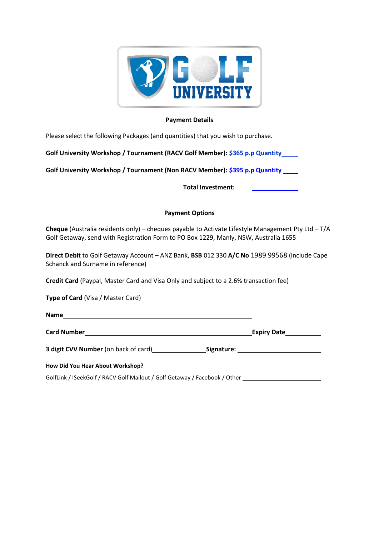

## **Payment Details**

Please select the following Packages (and quantities) that you wish to purchase.

**Golf University Workshop / Tournament (RACV Golf Member): \$365 p.p Quantity**

**Golf University Workshop / Tournament (Non RACV Member): \$395 p.p Quantity** 

**Total Investment:** 

## **Payment Options**

**Cheque** (Australia residents only) – cheques payable to Activate Lifestyle Management Pty Ltd – T/A Golf Getaway, send with Registration Form to PO Box 1229, Manly, NSW, Australia 1655

**Direct Debit** to Golf Getaway Account – ANZ Bank, **BSB** 012 330 **A/C No** 1989 99568 (include Cape Schanck and Surname in reference)

**Credit Card** (Paypal, Master Card and Visa Only and subject to a 2.6% transaction fee)

**Type of Card** (Visa / Master Card)

**Name**

**Card Number Expiry Date**

**3 digit CVV Number** (on back of card) **Signature:**

**How Did You Hear About Workshop?** 

GolfLink / ISeekGolf / RACV Golf Mailout / Golf Getaway / Facebook / Other